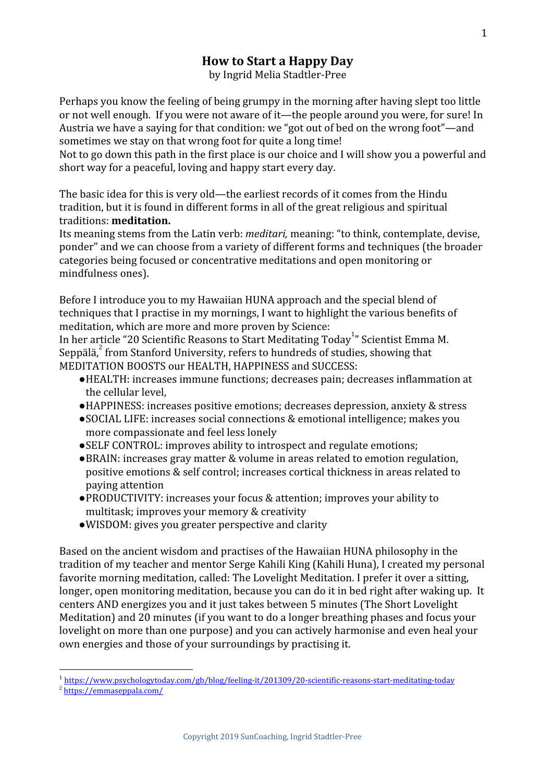# **How to Start a Happy Day**

by Ingrid Melia Stadtler-Pree

Perhaps you know the feeling of being grumpy in the morning after having slept too little or not well enough. If you were not aware of it—the people around you were, for sure! In Austria we have a saying for that condition: we "got out of bed on the wrong foot"—and sometimes we stay on that wrong foot for quite a long time!

Not to go down this path in the first place is our choice and I will show you a powerful and short way for a peaceful, loving and happy start every day.

The basic idea for this is very old—the earliest records of it comes from the Hindu tradition, but it is found in different forms in all of the great religious and spiritual traditions: **meditation.**

Its meaning stems from the Latin verb: *meditari,* meaning: "to think, contemplate, devise, ponder" and we can choose from a variety of different forms and techniques (the broader categories being focused or concentrative meditations and open monitoring or mindfulness ones).

Before I introduce you to my Hawaiian HUNA approach and the special blend of techniques that I practise in my mornings, I want to highlight the various benefits of meditation, which are more and more proven by Science:

In her article "20 Scientific Reasons to Start Meditating Today " Scientist Emma M. <sup>1</sup> Seppälä, from Stanford University, refers to hundreds of studies, showing that MEDITATION BOOSTS our HEALTH, HAPPINESS and SUCCESS:

- ●HEALTH: increases immune functions; decreases pain; decreases inflammation at the cellular level,
- ●HAPPINESS: increases positive emotions; decreases depression, anxiety & stress
- ●SOCIAL LIFE: increases social connections & emotional intelligence; makes you more compassionate and feel less lonely
- ●SELF CONTROL: improves ability to introspect and regulate emotions;
- ●BRAIN: increases gray matter & volume in areas related to emotion regulation, positive emotions & self control; increases cortical thickness in areas related to paying attention
- ●PRODUCTIVITY: increases your focus & attention; improves your ability to multitask; improves your memory & creativity
- ●WISDOM: gives you greater perspective and clarity

Based on the ancient wisdom and practises of the Hawaiian HUNA philosophy in the tradition of my teacher and mentor Serge Kahili King (Kahili Huna), I created my personal favorite morning meditation, called: The Lovelight Meditation. I prefer it over a sitting, longer, open monitoring meditation, because you can do it in bed right after waking up. It centers AND energizes you and it just takes between 5 minutes (The Short Lovelight Meditation) and 20 minutes (if you want to do a longer breathing phases and focus your lovelight on more than one purpose) and you can actively harmonise and even heal your own energies and those of your surroundings by practising it.

<sup>1</sup> <https://www.psychologytoday.com/gb/blog/feeling-it/201309/20-scientific-reasons-start-meditating-today>

<sup>2</sup> <https://emmaseppala.com/>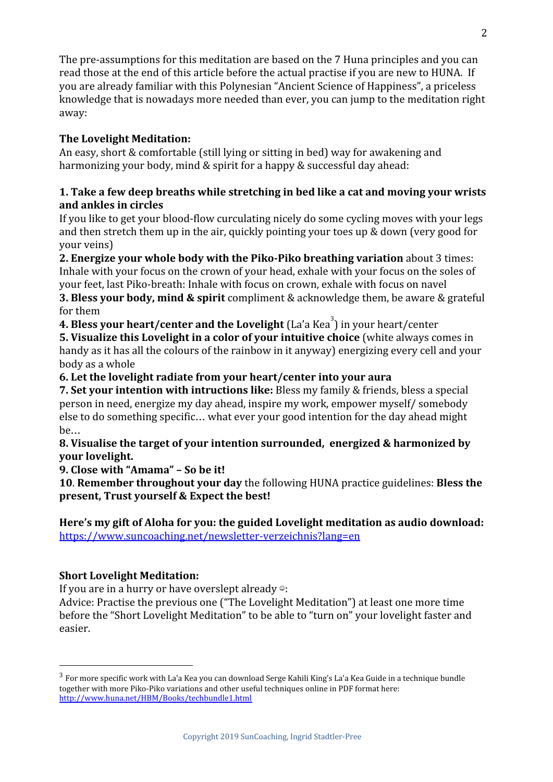The pre-assumptions for this meditation are based on the 7 Huna principles and you can read those at the end of this article before the actual practise if you are new to HUNA. If you are already familiar with this Polynesian "Ancient Science of Happiness", a priceless knowledge that is nowadays more needed than ever, you can jump to the meditation right away:

### **The Lovelight Meditation:**

An easy, short & comfortable (still lying or sitting in bed) way for awakening and harmonizing your body, mind & spirit for a happy & successful day ahead:

#### **1. Take a few deep breaths while stretching in bed like a cat and moving your wrists and ankles in circles**

If you like to get your blood-flow curculating nicely do some cycling moves with your legs and then stretch them up in the air, quickly pointing your toes up & down (very good for your veins)

**2. Energize your whole body with the Piko-Piko breathing variation** about 3 times: Inhale with your focus on the crown of your head, exhale with your focus on the soles of your feet, last Piko-breath: Inhale with focus on crown, exhale with focus on navel

**3. Bless your body, mind & spirit** compliment & acknowledge them, be aware & grateful for them

**4. Bless your heart/center and the Lovelight** (La'a Kea<sup>3</sup>) in your heart/center

**5. Visualize this Lovelight in a color of your intuitive choice** (white always comes in handy as it has all the colours of the rainbow in it anyway) energizing every cell and your body as a whole

**6. Let the lovelight radiate from your heart/center into your aura**

**7. Set your intention with intructions like:** Bless my family & friends, bless a special person in need, energize my day ahead, inspire my work, empower myself/ somebody else to do something specific… what ever your good intention for the day ahead might be…

**8. Visualise the target of your intention surrounded, energized & harmonized by your lovelight.**

**9. Close with "Amama" – So be it!**

**10**. **Remember throughout your day** the following HUNA practice guidelines: **Bless the present, Trust yourself & Expect the best!**

**Here's my gift of Aloha for you: the guided Lovelight meditation as audio download:** <https://www.suncoaching.net/newsletter-verzeichnis?lang=en>

## **Short Lovelight Meditation:**

If you are in a hurry or have overslept already  $\circ$ :

Advice: Practise the previous one ("The Lovelight Meditation") at least one more time before the "Short Lovelight Meditation" to be able to "turn on" your lovelight faster and easier.

<sup>3</sup> For more specific work with La'a Kea you can download Serge Kahili King's La'a Kea Guide in a technique bundle together with more Piko-Piko variations and other useful techniques online in PDF format here: <http://www.huna.net/HBM/Books/techbundle1.html>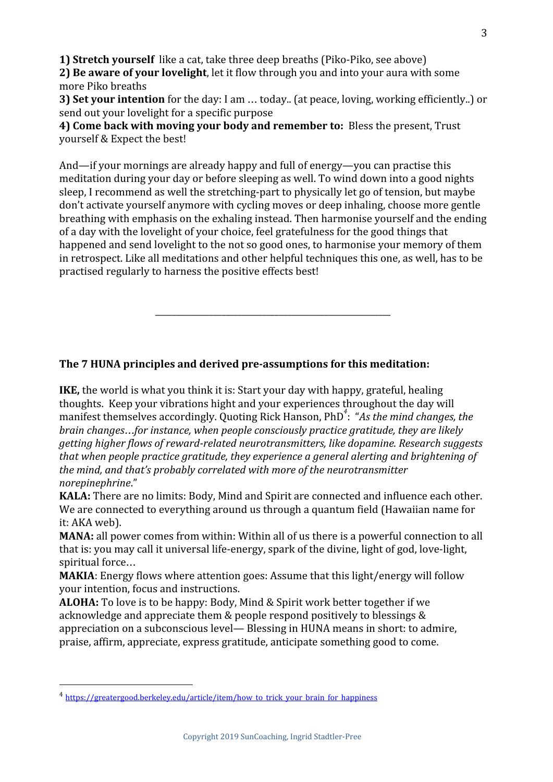**1) Stretch yourself** like a cat, take three deep breaths (Piko-Piko, see above)

**2) Be aware of your lovelight**, let it flow through you and into your aura with some more Piko breaths

**3) Set your intention** for the day: I am … today.. (at peace, loving, working efficiently..) or send out your lovelight for a specific purpose

**4) Come back with moving your body and remember to:** Bless the present, Trust yourself & Expect the best!

And—if your mornings are already happy and full of energy—you can practise this meditation during your day or before sleeping as well. To wind down into a good nights sleep, I recommend as well the stretching-part to physically let go of tension, but maybe don't activate yourself anymore with cycling moves or deep inhaling, choose more gentle breathing with emphasis on the exhaling instead. Then harmonise yourself and the ending of a day with the lovelight of your choice, feel gratefulness for the good things that happened and send lovelight to the not so good ones, to harmonise your memory of them in retrospect. Like all meditations and other helpful techniques this one, as well, has to be practised regularly to harness the positive effects best!

\_\_\_\_\_\_\_\_\_\_\_\_\_\_\_\_\_\_\_\_\_\_\_\_\_\_\_\_\_\_\_\_\_\_\_\_\_\_\_\_\_\_\_\_\_\_\_\_\_\_\_\_\_\_\_\_\_

## **The 7 HUNA principles and derived pre-assumptions for this meditation:**

**IKE,** the world is what you think it is: Start your day with happy, grateful, healing thoughts. Keep your vibrations hight and your experiences throughout the day will manifest themselves accordingly. Quoting Rick Hanson, PhD<sup>4</sup>: "As the mind changes, the *brain changes*…*for instance, when people consciously practice gratitude, they are likely getting higher flows of reward-related neurotransmitters, like dopamine. Research suggests that when people practice gratitude, they experience a general alerting and brightening of the mind, and that's probably correlated with more of the neurotransmitter norepinephrine*."

**KALA:** There are no limits: Body, Mind and Spirit are connected and influence each other. We are connected to everything around us through a quantum field (Hawaiian name for it: AKA web).

**MANA:** all power comes from within: Within all of us there is a powerful connection to all that is: you may call it universal life-energy, spark of the divine, light of god, love-light, spiritual force…

**MAKIA**: Energy flows where attention goes: Assume that this light/energy will follow your intention, focus and instructions.

**ALOHA:** To love is to be happy: Body, Mind & Spirit work better together if we acknowledge and appreciate them & people respond positively to blessings & appreciation on a subconscious level— Blessing in HUNA means in short: to admire, praise, affirm, appreciate, express gratitude, anticipate something good to come.

<sup>&</sup>lt;sup>4</sup> [https://greatergood.berkeley.edu/article/item/how\\_to\\_trick\\_your\\_brain\\_for\\_happiness](https://greatergood.berkeley.edu/article/item/how_to_trick_your_brain_for_happiness)